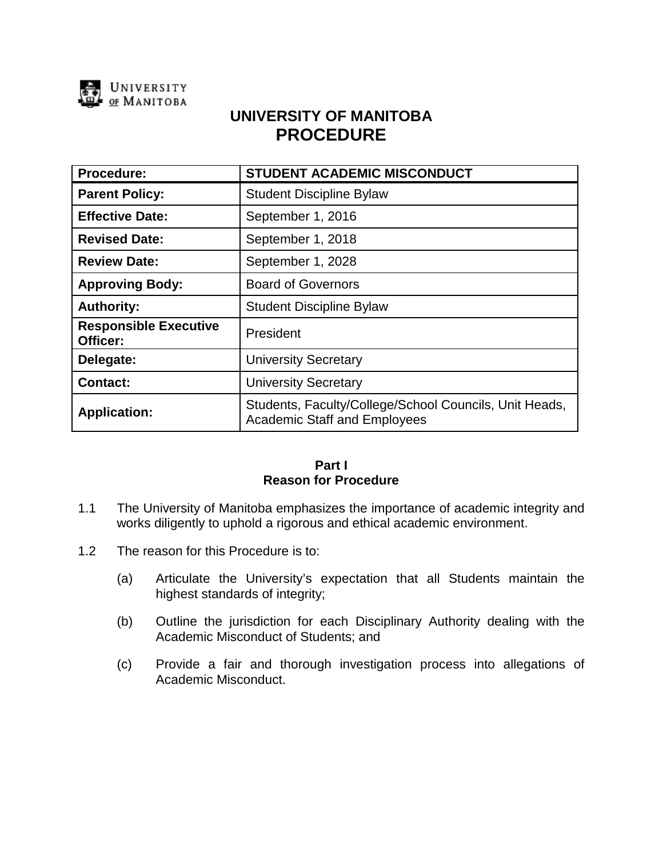

# **UNIVERSITY OF MANITOBA PROCEDURE**

| <b>Procedure:</b>                        | <b>STUDENT ACADEMIC MISCONDUCT</b>                                                            |
|------------------------------------------|-----------------------------------------------------------------------------------------------|
| <b>Parent Policy:</b>                    | <b>Student Discipline Bylaw</b>                                                               |
| <b>Effective Date:</b>                   | September 1, 2016                                                                             |
| <b>Revised Date:</b>                     | September 1, 2018                                                                             |
| <b>Review Date:</b>                      | September 1, 2028                                                                             |
| <b>Approving Body:</b>                   | <b>Board of Governors</b>                                                                     |
| <b>Authority:</b>                        | <b>Student Discipline Bylaw</b>                                                               |
| <b>Responsible Executive</b><br>Officer: | President                                                                                     |
| Delegate:                                | <b>University Secretary</b>                                                                   |
| <b>Contact:</b>                          | <b>University Secretary</b>                                                                   |
| <b>Application:</b>                      | Students, Faculty/College/School Councils, Unit Heads,<br><b>Academic Staff and Employees</b> |

## **Part I Reason for Procedure**

- 1.1 The University of Manitoba emphasizes the importance of academic integrity and works diligently to uphold a rigorous and ethical academic environment.
- 1.2 The reason for this Procedure is to:
	- (a) Articulate the University's expectation that all Students maintain the highest standards of integrity;
	- (b) Outline the jurisdiction for each Disciplinary Authority dealing with the Academic Misconduct of Students; and
	- (c) Provide a fair and thorough investigation process into allegations of Academic Misconduct.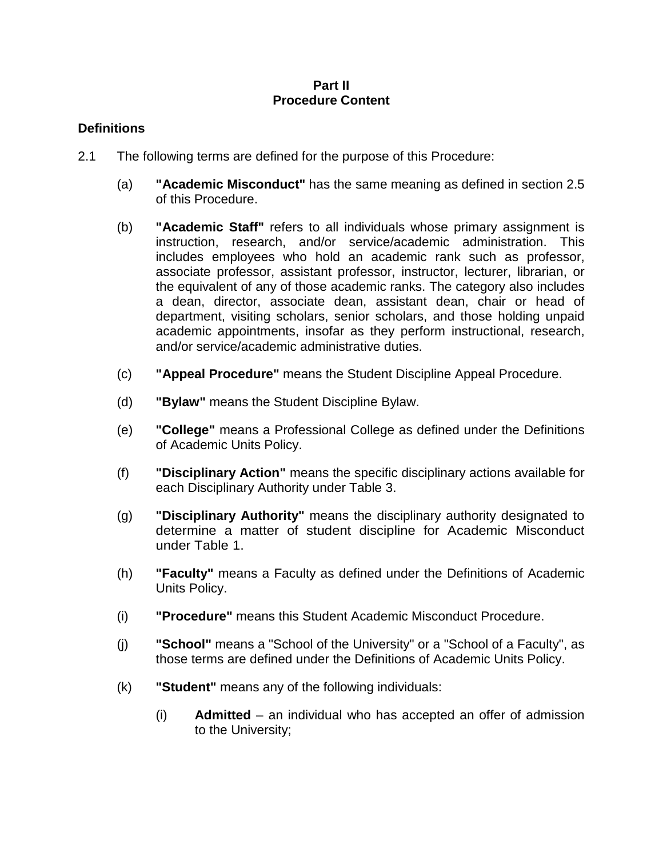## **Part II Procedure Content**

# **Definitions**

- 2.1 The following terms are defined for the purpose of this Procedure:
	- (a) **"Academic Misconduct"** has the same meaning as defined in section 2.5 of this Procedure.
	- (b) **"Academic Staff"** refers to all individuals whose primary assignment is instruction, research, and/or service/academic administration. This includes employees who hold an academic rank such as professor, associate professor, assistant professor, instructor, lecturer, librarian, or the equivalent of any of those academic ranks. The category also includes a dean, director, associate dean, assistant dean, chair or head of department, visiting scholars, senior scholars, and those holding unpaid academic appointments, insofar as they perform instructional, research, and/or service/academic administrative duties.
	- (c) **"Appeal Procedure"** means the Student Discipline Appeal Procedure.
	- (d) **"Bylaw"** means the Student Discipline Bylaw.
	- (e) **"College"** means a Professional College as defined under the Definitions of Academic Units Policy.
	- (f) **"Disciplinary Action"** means the specific disciplinary actions available for each Disciplinary Authority under Table 3.
	- (g) **"Disciplinary Authority"** means the disciplinary authority designated to determine a matter of student discipline for Academic Misconduct under Table 1.
	- (h) **"Faculty"** means a Faculty as defined under the Definitions of Academic Units Policy.
	- (i) **"Procedure"** means this Student Academic Misconduct Procedure.
	- (j) **"School"** means a "School of the University" or a "School of a Faculty", as those terms are defined under the Definitions of Academic Units Policy.
	- (k) **"Student"** means any of the following individuals:
		- (i) **Admitted**  an individual who has accepted an offer of admission to the University;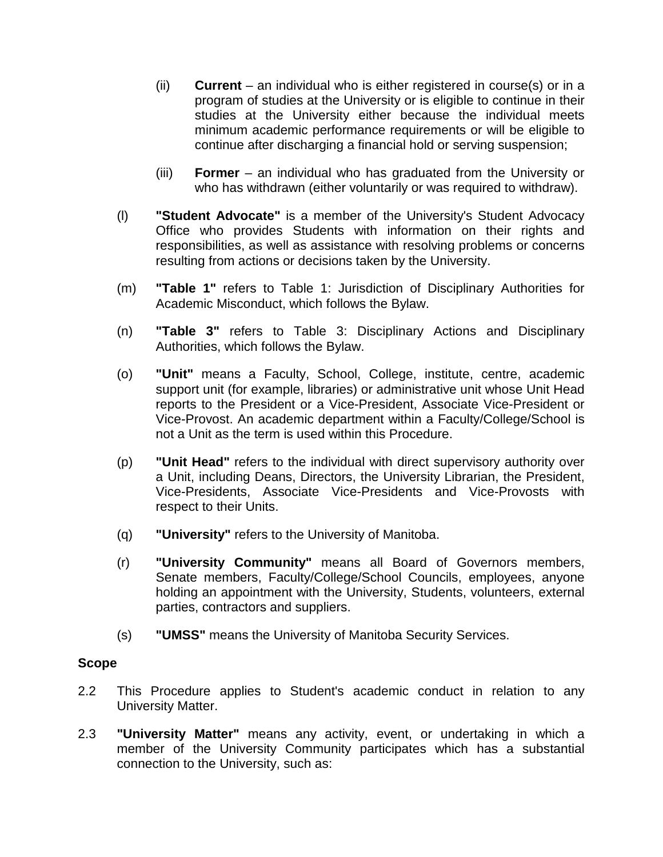- (ii) **Current**  an individual who is either registered in course(s) or in a program of studies at the University or is eligible to continue in their studies at the University either because the individual meets minimum academic performance requirements or will be eligible to continue after discharging a financial hold or serving suspension;
- (iii) **Former**  an individual who has graduated from the University or who has withdrawn (either voluntarily or was required to withdraw).
- (l) **"Student Advocate"** is a member of the University's Student Advocacy Office who provides Students with information on their rights and responsibilities, as well as assistance with resolving problems or concerns resulting from actions or decisions taken by the University.
- (m) **"Table 1"** refers to Table 1: Jurisdiction of Disciplinary Authorities for Academic Misconduct, which follows the Bylaw.
- (n) **"Table 3"** refers to Table 3: Disciplinary Actions and Disciplinary Authorities, which follows the Bylaw.
- (o) **"Unit"** means a Faculty, School, College, institute, centre, academic support unit (for example, libraries) or administrative unit whose Unit Head reports to the President or a Vice-President, Associate Vice-President or Vice-Provost. An academic department within a Faculty/College/School is not a Unit as the term is used within this Procedure.
- (p) **"Unit Head"** refers to the individual with direct supervisory authority over a Unit, including Deans, Directors, the University Librarian, the President, Vice-Presidents, Associate Vice-Presidents and Vice-Provosts with respect to their Units.
- (q) **"University"** refers to the University of Manitoba.
- (r) **"University Community"** means all Board of Governors members, Senate members, Faculty/College/School Councils, employees, anyone holding an appointment with the University, Students, volunteers, external parties, contractors and suppliers.
- (s) **"UMSS"** means the University of Manitoba Security Services.

## **Scope**

- 2.2 This Procedure applies to Student's academic conduct in relation to any University Matter.
- 2.3 **"University Matter"** means any activity, event, or undertaking in which a member of the University Community participates which has a substantial connection to the University, such as: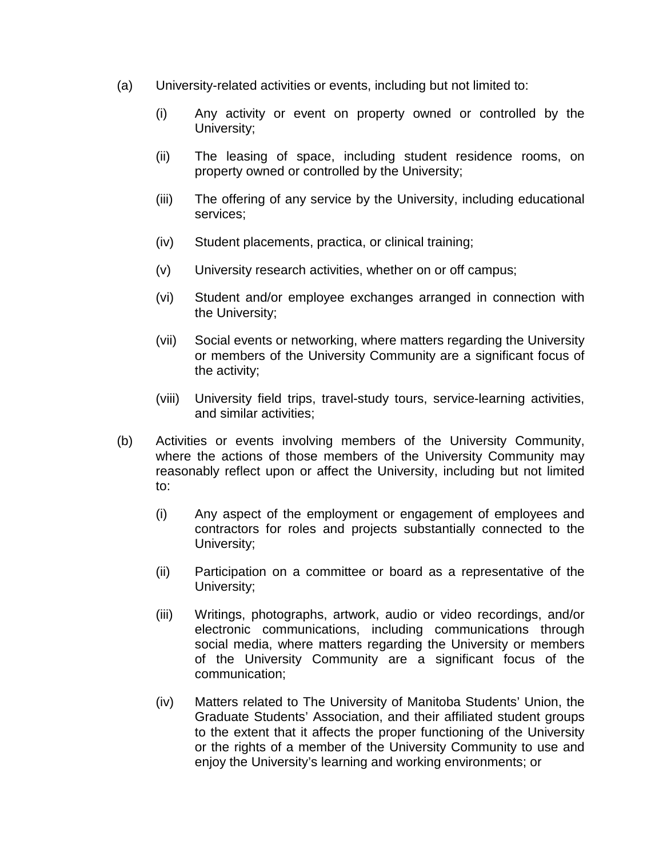- (a) University-related activities or events, including but not limited to:
	- (i) Any activity or event on property owned or controlled by the University;
	- (ii) The leasing of space, including student residence rooms, on property owned or controlled by the University;
	- (iii) The offering of any service by the University, including educational services;
	- (iv) Student placements, practica, or clinical training;
	- (v) University research activities, whether on or off campus;
	- (vi) Student and/or employee exchanges arranged in connection with the University;
	- (vii) Social events or networking, where matters regarding the University or members of the University Community are a significant focus of the activity;
	- (viii) University field trips, travel-study tours, service-learning activities, and similar activities;
- (b) Activities or events involving members of the University Community, where the actions of those members of the University Community may reasonably reflect upon or affect the University, including but not limited to:
	- (i) Any aspect of the employment or engagement of employees and contractors for roles and projects substantially connected to the University;
	- (ii) Participation on a committee or board as a representative of the University;
	- (iii) Writings, photographs, artwork, audio or video recordings, and/or electronic communications, including communications through social media, where matters regarding the University or members of the University Community are a significant focus of the communication;
	- (iv) Matters related to The University of Manitoba Students' Union, the Graduate Students' Association, and their affiliated student groups to the extent that it affects the proper functioning of the University or the rights of a member of the University Community to use and enjoy the University's learning and working environments; or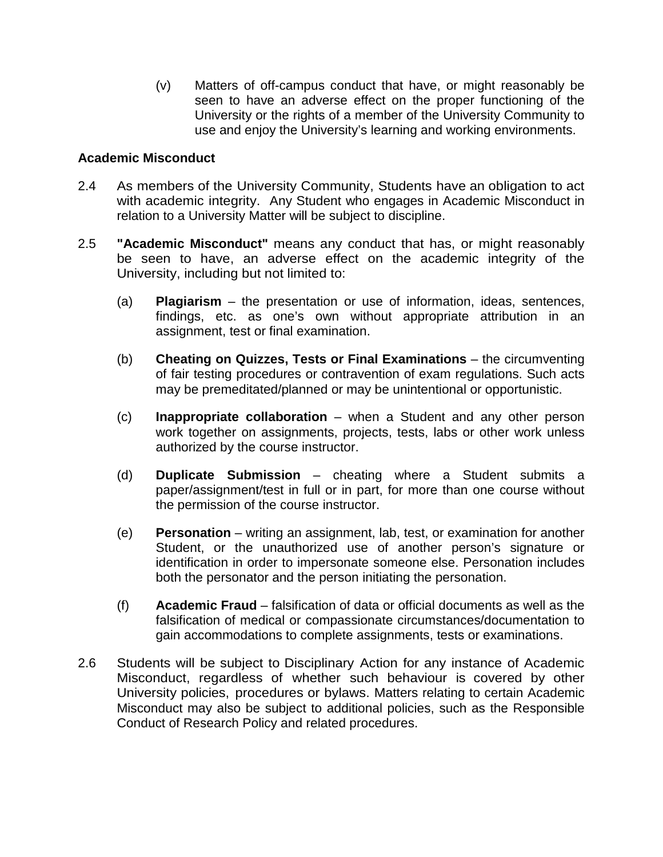(v) Matters of off-campus conduct that have, or might reasonably be seen to have an adverse effect on the proper functioning of the University or the rights of a member of the University Community to use and enjoy the University's learning and working environments.

# **Academic Misconduct**

- 2.4 As members of the University Community, Students have an obligation to act with academic integrity. Any Student who engages in Academic Misconduct in relation to a University Matter will be subject to discipline.
- 2.5 **"Academic Misconduct"** means any conduct that has, or might reasonably be seen to have, an adverse effect on the academic integrity of the University, including but not limited to:
	- (a) **Plagiarism** the presentation or use of information, ideas, sentences, findings, etc. as one's own without appropriate attribution in an assignment, test or final examination.
	- (b) **Cheating on Quizzes, Tests or Final Examinations** the circumventing of fair testing procedures or contravention of exam regulations. Such acts may be premeditated/planned or may be unintentional or opportunistic.
	- (c) **Inappropriate collaboration** when a Student and any other person work together on assignments, projects, tests, labs or other work unless authorized by the course instructor.
	- (d) **Duplicate Submission** cheating where a Student submits a paper/assignment/test in full or in part, for more than one course without the permission of the course instructor.
	- (e) **Personation** writing an assignment, lab, test, or examination for another Student, or the unauthorized use of another person's signature or identification in order to impersonate someone else. Personation includes both the personator and the person initiating the personation.
	- (f) **Academic Fraud** falsification of data or official documents as well as the falsification of medical or compassionate circumstances/documentation to gain accommodations to complete assignments, tests or examinations.
- 2.6 Students will be subject to Disciplinary Action for any instance of Academic Misconduct, regardless of whether such behaviour is covered by other University policies, procedures or bylaws. Matters relating to certain Academic Misconduct may also be subject to additional policies, such as the Responsible Conduct of Research Policy and related procedures.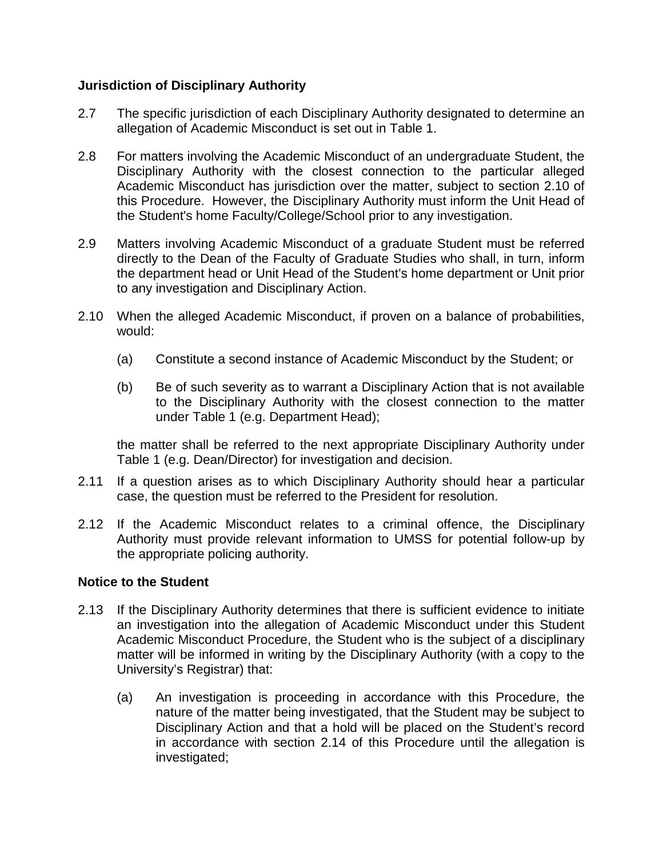# **Jurisdiction of Disciplinary Authority**

- 2.7 The specific jurisdiction of each Disciplinary Authority designated to determine an allegation of Academic Misconduct is set out in Table 1.
- 2.8 For matters involving the Academic Misconduct of an undergraduate Student, the Disciplinary Authority with the closest connection to the particular alleged Academic Misconduct has jurisdiction over the matter, subject to section 2.10 of this Procedure. However, the Disciplinary Authority must inform the Unit Head of the Student's home Faculty/College/School prior to any investigation.
- 2.9 Matters involving Academic Misconduct of a graduate Student must be referred directly to the Dean of the Faculty of Graduate Studies who shall, in turn, inform the department head or Unit Head of the Student's home department or Unit prior to any investigation and Disciplinary Action.
- 2.10 When the alleged Academic Misconduct, if proven on a balance of probabilities, would:
	- (a) Constitute a second instance of Academic Misconduct by the Student; or
	- (b) Be of such severity as to warrant a Disciplinary Action that is not available to the Disciplinary Authority with the closest connection to the matter under Table 1 (e.g. Department Head);

the matter shall be referred to the next appropriate Disciplinary Authority under Table 1 (e.g. Dean/Director) for investigation and decision.

- 2.11 If a question arises as to which Disciplinary Authority should hear a particular case, the question must be referred to the President for resolution.
- 2.12 If the Academic Misconduct relates to a criminal offence, the Disciplinary Authority must provide relevant information to UMSS for potential follow-up by the appropriate policing authority.

## **Notice to the Student**

- 2.13 If the Disciplinary Authority determines that there is sufficient evidence to initiate an investigation into the allegation of Academic Misconduct under this Student Academic Misconduct Procedure, the Student who is the subject of a disciplinary matter will be informed in writing by the Disciplinary Authority (with a copy to the University's Registrar) that:
	- (a) An investigation is proceeding in accordance with this Procedure, the nature of the matter being investigated, that the Student may be subject to Disciplinary Action and that a hold will be placed on the Student's record in accordance with section 2.14 of this Procedure until the allegation is investigated;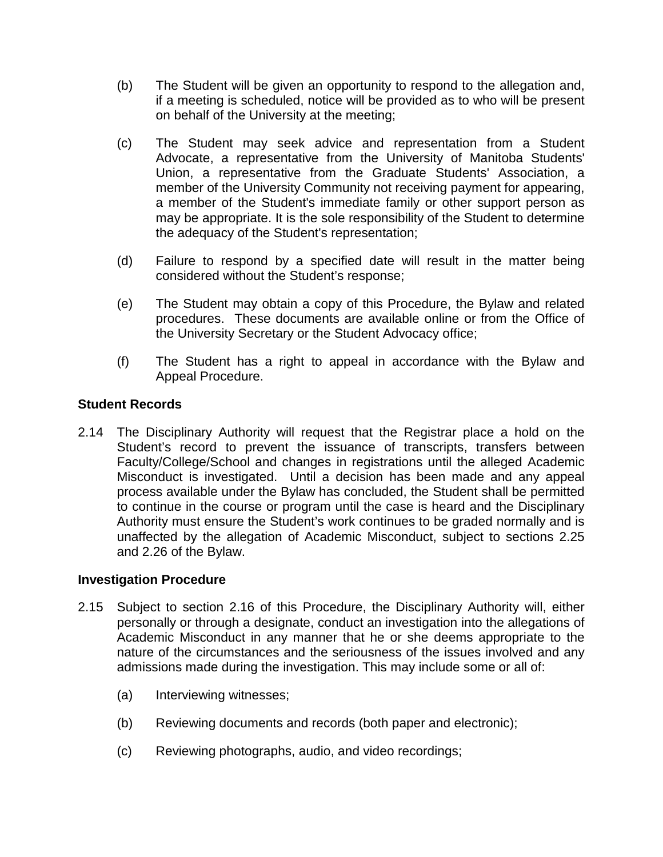- (b) The Student will be given an opportunity to respond to the allegation and, if a meeting is scheduled, notice will be provided as to who will be present on behalf of the University at the meeting;
- (c) The Student may seek advice and representation from a Student Advocate, a representative from the University of Manitoba Students' Union, a representative from the Graduate Students' Association, a member of the University Community not receiving payment for appearing, a member of the Student's immediate family or other support person as may be appropriate. It is the sole responsibility of the Student to determine the adequacy of the Student's representation;
- (d) Failure to respond by a specified date will result in the matter being considered without the Student's response;
- (e) The Student may obtain a copy of this Procedure, the Bylaw and related procedures. These documents are available online or from the Office of the University Secretary or the Student Advocacy office;
- (f) The Student has a right to appeal in accordance with the Bylaw and Appeal Procedure.

# **Student Records**

2.14 The Disciplinary Authority will request that the Registrar place a hold on the Student's record to prevent the issuance of transcripts, transfers between Faculty/College/School and changes in registrations until the alleged Academic Misconduct is investigated. Until a decision has been made and any appeal process available under the Bylaw has concluded, the Student shall be permitted to continue in the course or program until the case is heard and the Disciplinary Authority must ensure the Student's work continues to be graded normally and is unaffected by the allegation of Academic Misconduct, subject to sections 2.25 and 2.26 of the Bylaw.

## **Investigation Procedure**

- 2.15 Subject to section 2.16 of this Procedure, the Disciplinary Authority will, either personally or through a designate, conduct an investigation into the allegations of Academic Misconduct in any manner that he or she deems appropriate to the nature of the circumstances and the seriousness of the issues involved and any admissions made during the investigation. This may include some or all of:
	- (a) Interviewing witnesses;
	- (b) Reviewing documents and records (both paper and electronic);
	- (c) Reviewing photographs, audio, and video recordings;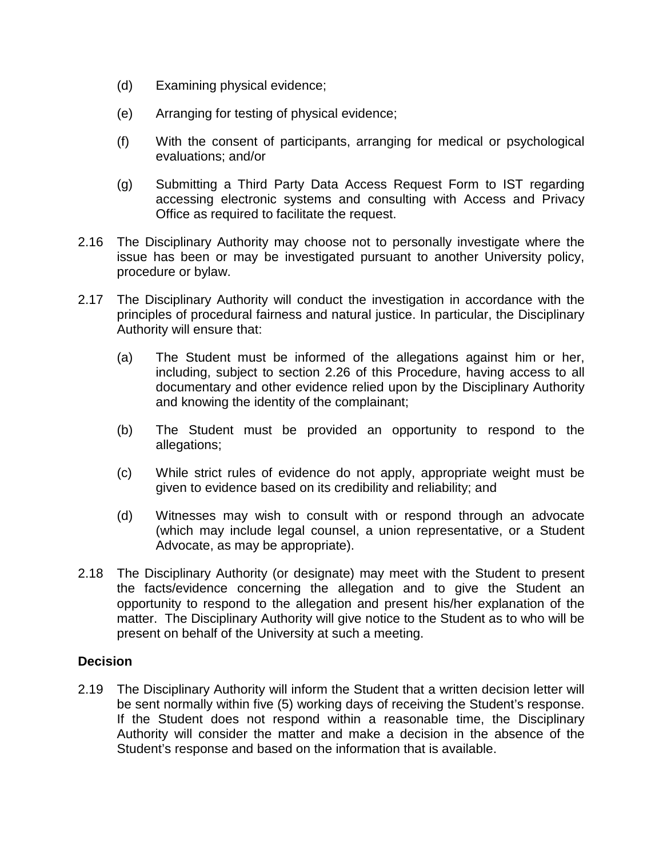- (d) Examining physical evidence;
- (e) Arranging for testing of physical evidence;
- (f) With the consent of participants, arranging for medical or psychological evaluations; and/or
- (g) Submitting a Third Party Data Access Request Form to IST regarding accessing electronic systems and consulting with Access and Privacy Office as required to facilitate the request.
- 2.16 The Disciplinary Authority may choose not to personally investigate where the issue has been or may be investigated pursuant to another University policy, procedure or bylaw.
- 2.17 The Disciplinary Authority will conduct the investigation in accordance with the principles of procedural fairness and natural justice. In particular, the Disciplinary Authority will ensure that:
	- (a) The Student must be informed of the allegations against him or her, including, subject to section [2.26](#page-9-0) of this Procedure, having access to all documentary and other evidence relied upon by the Disciplinary Authority and knowing the identity of the complainant;
	- (b) The Student must be provided an opportunity to respond to the allegations;
	- (c) While strict rules of evidence do not apply, appropriate weight must be given to evidence based on its credibility and reliability; and
	- (d) Witnesses may wish to consult with or respond through an advocate (which may include legal counsel, a union representative, or a Student Advocate, as may be appropriate).
- 2.18 The Disciplinary Authority (or designate) may meet with the Student to present the facts/evidence concerning the allegation and to give the Student an opportunity to respond to the allegation and present his/her explanation of the matter. The Disciplinary Authority will give notice to the Student as to who will be present on behalf of the University at such a meeting.

#### **Decision**

2.19 The Disciplinary Authority will inform the Student that a written decision letter will be sent normally within five (5) working days of receiving the Student's response. If the Student does not respond within a reasonable time, the Disciplinary Authority will consider the matter and make a decision in the absence of the Student's response and based on the information that is available.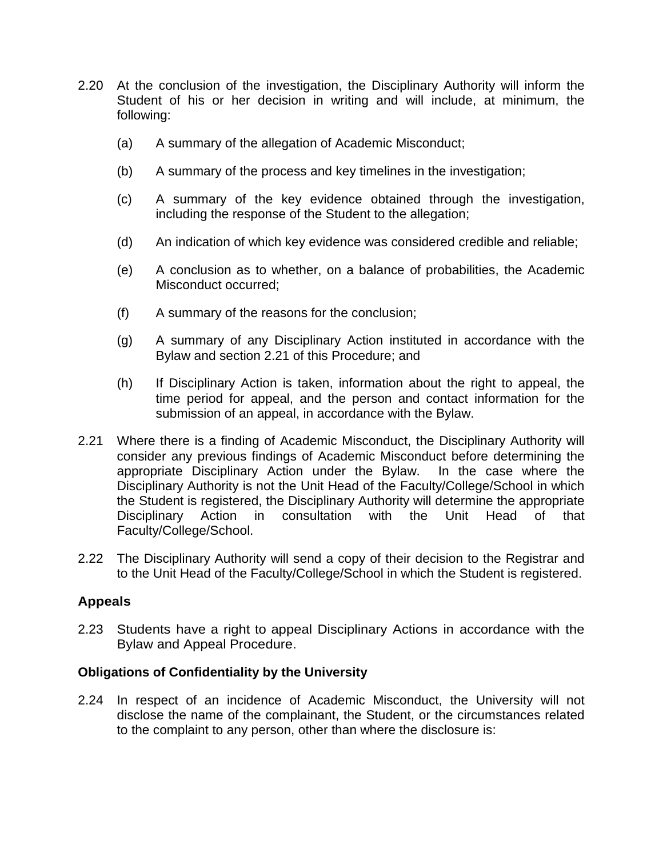- 2.20 At the conclusion of the investigation, the Disciplinary Authority will inform the Student of his or her decision in writing and will include, at minimum, the following:
	- (a) A summary of the allegation of Academic Misconduct;
	- (b) A summary of the process and key timelines in the investigation;
	- (c) A summary of the key evidence obtained through the investigation, including the response of the Student to the allegation;
	- (d) An indication of which key evidence was considered credible and reliable;
	- (e) A conclusion as to whether, on a balance of probabilities, the Academic Misconduct occurred;
	- (f) A summary of the reasons for the conclusion;
	- (g) A summary of any Disciplinary Action instituted in accordance with the Bylaw and section 2.21 of this Procedure; and
	- (h) If Disciplinary Action is taken, information about the right to appeal, the time period for appeal, and the person and contact information for the submission of an appeal, in accordance with the Bylaw.
- 2.21 Where there is a finding of Academic Misconduct, the Disciplinary Authority will consider any previous findings of Academic Misconduct before determining the appropriate Disciplinary Action under the Bylaw. In the case where the Disciplinary Authority is not the Unit Head of the Faculty/College/School in which the Student is registered, the Disciplinary Authority will determine the appropriate Disciplinary Action in consultation with the Unit Head of that Faculty/College/School.
- 2.22 The Disciplinary Authority will send a copy of their decision to the Registrar and to the Unit Head of the Faculty/College/School in which the Student is registered.

## **Appeals**

2.23 Students have a right to appeal Disciplinary Actions in accordance with the Bylaw and Appeal Procedure.

#### **Obligations of Confidentiality by the University**

2.24 In respect of an incidence of Academic Misconduct, the University will not disclose the name of the complainant, the Student, or the circumstances related to the complaint to any person, other than where the disclosure is: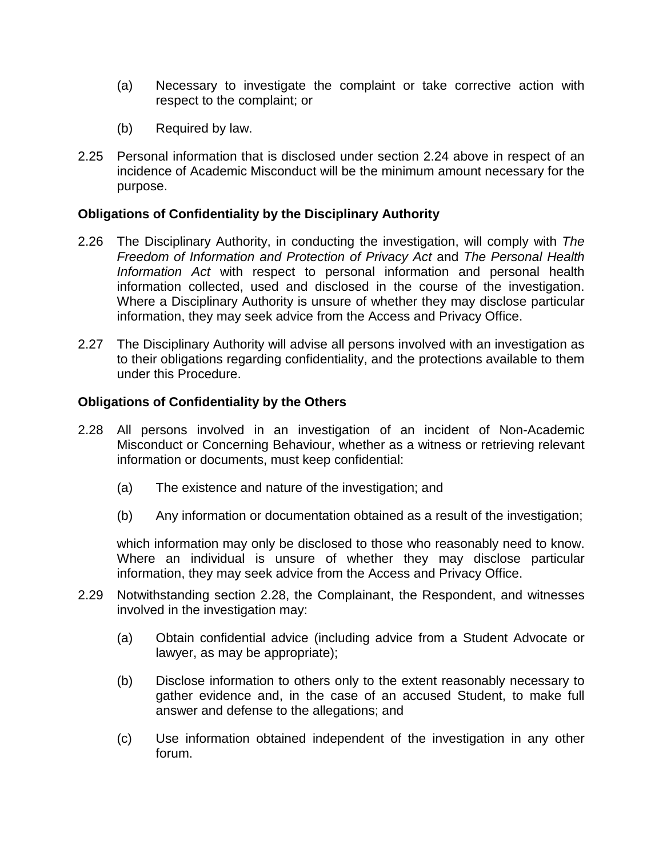- (a) Necessary to investigate the complaint or take corrective action with respect to the complaint; or
- (b) Required by law.
- 2.25 Personal information that is disclosed under section 2.24 above in respect of an incidence of Academic Misconduct will be the minimum amount necessary for the purpose.

# **Obligations of Confidentiality by the Disciplinary Authority**

- <span id="page-9-0"></span>2.26 The Disciplinary Authority, in conducting the investigation, will comply with *The Freedom of Information and Protection of Privacy Act* and *The Personal Health Information Act* with respect to personal information and personal health information collected, used and disclosed in the course of the investigation. Where a Disciplinary Authority is unsure of whether they may disclose particular information, they may seek advice from the Access and Privacy Office.
- 2.27 The Disciplinary Authority will advise all persons involved with an investigation as to their obligations regarding confidentiality, and the protections available to them under this Procedure.

## **Obligations of Confidentiality by the Others**

- 2.28 All persons involved in an investigation of an incident of Non-Academic Misconduct or Concerning Behaviour, whether as a witness or retrieving relevant information or documents, must keep confidential:
	- (a) The existence and nature of the investigation; and
	- (b) Any information or documentation obtained as a result of the investigation;

which information may only be disclosed to those who reasonably need to know. Where an individual is unsure of whether they may disclose particular information, they may seek advice from the Access and Privacy Office.

- 2.29 Notwithstanding section 2.28, the Complainant, the Respondent, and witnesses involved in the investigation may:
	- (a) Obtain confidential advice (including advice from a Student Advocate or lawyer, as may be appropriate);
	- (b) Disclose information to others only to the extent reasonably necessary to gather evidence and, in the case of an accused Student, to make full answer and defense to the allegations; and
	- (c) Use information obtained independent of the investigation in any other forum.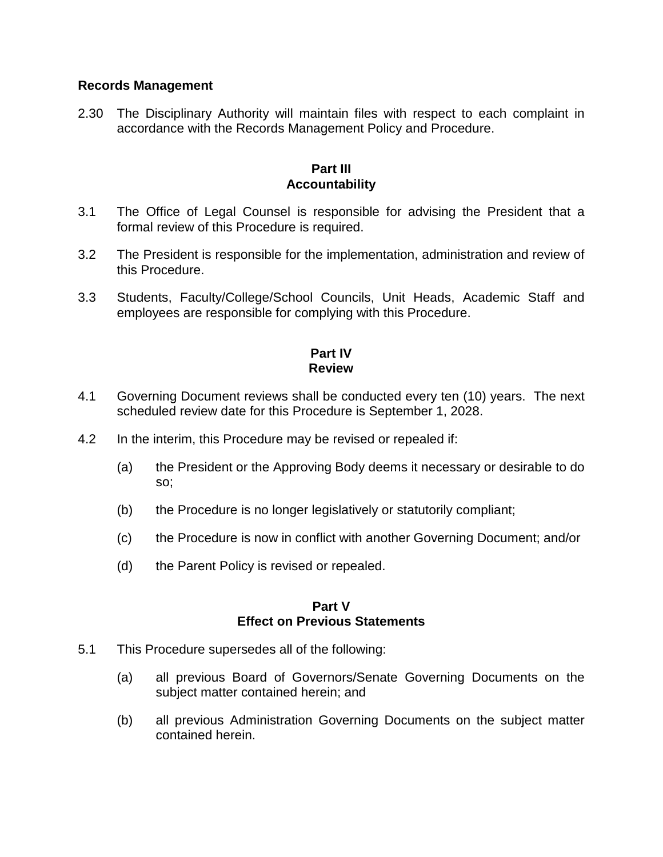## **Records Management**

2.30 The Disciplinary Authority will maintain files with respect to each complaint in accordance with the Records Management Policy and Procedure.

#### **Part III Accountability**

- 3.1 The Office of Legal Counsel is responsible for advising the President that a formal review of this Procedure is required.
- 3.2 The President is responsible for the implementation, administration and review of this Procedure.
- 3.3 Students, Faculty/College/School Councils, Unit Heads, Academic Staff and employees are responsible for complying with this Procedure.

## **Part IV Review**

- 4.1 Governing Document reviews shall be conducted every ten (10) years. The next scheduled review date for this Procedure is September 1, 2028.
- 4.2 In the interim, this Procedure may be revised or repealed if:
	- (a) the President or the Approving Body deems it necessary or desirable to do so;
	- (b) the Procedure is no longer legislatively or statutorily compliant;
	- (c) the Procedure is now in conflict with another Governing Document; and/or
	- (d) the Parent Policy is revised or repealed.

#### **Part V Effect on Previous Statements**

- 5.1 This Procedure supersedes all of the following:
	- (a) all previous Board of Governors/Senate Governing Documents on the subject matter contained herein; and
	- (b) all previous Administration Governing Documents on the subject matter contained herein.